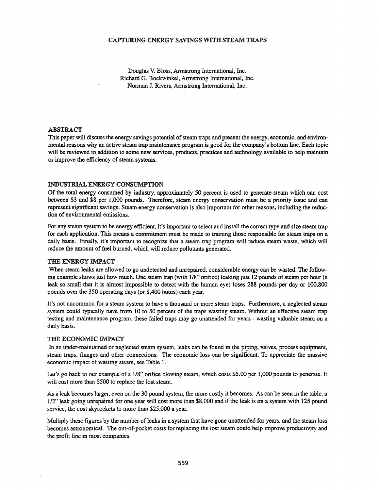#### CAPTURING ENERGY SAVINGS WITH STEAM TRAPS

Douglas V. Bloss, Annstrong International, Inc. Richard G. Bockwinkel, Armstrong International, Inc. Norman J. Rivers, Annstrong International, Inc.

#### ABSTRACT

This paper will discuss the energy savings potential of steam traps and present the energy, economic, and environmental reasons why an active steam trap maintenance program is good for the company's bottom line. Each topic will be reviewed in addition to some new services, products, practices and technology available to help maintain or improve the efficiency of steam systems.

#### INDUSTRIAL ENERGY CONSUMPTION

Of the total energy consumed by industry, approximately 50 percent is used to generate steam which can cost between \$3 and \$8 per 1,000 pounds. Therefore, steam energy conservation must be a priority issue and can represent significant savings. Steam energy conservation is also important for other reasons, including the reduction of environmental emissions.

For any steam system to be energy efficient, it's important to select and install the correct type and size steam trap for each application. This means a commitment must be made to training those responsible for steam traps on a daily basis. Finally, it's important to recognize that a steam trap program will reduce steam waste, which will reduce the amount of fuel burned, which will reduce pollutants generated.

#### THE ENERGY IMPACT

When steam leaks are allowed to go undetected and unrepaired, considerable energy can be wasted. The following example shows just how much. One steam trap (with 1/8" orifice) leaking just 12 pounds of steam per hour (a leak so small that it is almost impossible to detect with the human eye) loses 288 pounds per day or 100,800 pounds over the 350 operating days (or 8,400 hours) each year.

It's not uncommon for a steam system to have a thousand or more steam traps. Furthermore, a neglected steam system could typically have from 10 to 50 percent of the traps wasting steam. Without an effective steam trap testing and maintenance program, these failed traps may go unattended for years - wasting valuable steam on a daily basis.

#### THE ECONOMIC IMPACT

In an under-maintained or neglected steam system, leaks can be found in the piping, valves, process equipment, steam traps, flanges and other connections. The economic loss can be significant. To appreciate the massive economic impact of wasting steam, see Table 1.

Let's go back to our example of a 1/8" orifice blowing steam, which costs \$5.00 per 1,000 pounds to generate. It will cost more than \$500 to replace the lost steam.

As a leak becomes larger, even on the 30 pound system, the more costly it becomes. As can be seen in the table, a 1/2" leak going unrepaired for one year will cost more than \$8,000 and if the leak is on a system with 125 pound service, the cost skyrockets to more than \$25,000 a year.

Multiply these figures by the number of leaks in a system that have gone unattended for years, and the steam loss becomes astronomical. The out-of-pocket costs for replacing the lost steam could help improve productivity and the profit line in most companies.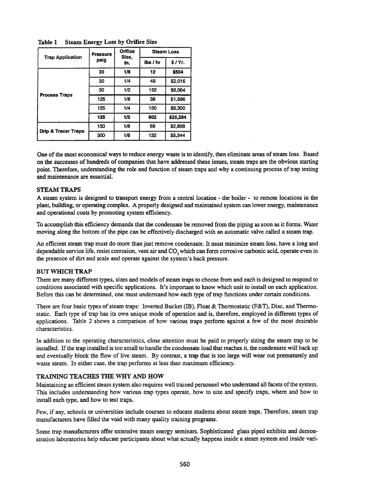| <b>Trap Application</b>        | Pressure | Orifice<br>Size, | <b>Steam Loss</b> |          |  |
|--------------------------------|----------|------------------|-------------------|----------|--|
|                                | psig     | in.              | $\frac{1}{5}$     | $S/Yr$ . |  |
| <b>Process Traps</b>           | 30       | 1/8              | 12                | \$504    |  |
|                                | 30       | 1/4              | 48                | \$2.016  |  |
|                                | 30       | 1/2              | 192               | \$8,064  |  |
|                                | 125      | 1/8              | 38                | \$1.596  |  |
|                                | 125      | 1/4              | 150               | \$6,300  |  |
|                                | 125      | 1/2              | 602               | \$25,284 |  |
| <b>Drip &amp; Tracer Traps</b> | 150      | 1/8              | 69                | \$2,898  |  |
|                                | 300      | 1/8              | 132               | \$5.544  |  |

Table 1 Steam Energy Loss by Orifice Size

One ofthe most economical ways to reduce energy waste is to identify, then eliminate areas ofsteam loss. Based on the successes of hundreds of companies that have addressed these issues, steam traps are the obvious starting point. Therefore, understanding the role and function of steam traps and why a continuing process of trap testing and maintenance are essential.

#### STEAMTRAPS

A steam system is designed to transport energy from a central location - the boiler - to remote locations in the plant, building, or operating complex. A properly designed and maintained system can lower energy, maintenance and operational costs by promoting system efficiency.

To accomplish this efficiency demands that the condensate be removed from the piping as soon as it forms. Water moving along the bottom of the pipe can be effectively discharged with an automatic valve called a steam trap.

An efficient steam trap must do more than just remove condensate. It must minimize steam loss, have a long and dependable service life, resist corrosion, vent air and CO<sub>2</sub> which can form corrosive carbonic acid, operate even in the presence of dirt and scale and operate against the system's back pressure.

#### BUT WIDCH TRAP

There are many different types, sizes and models of steam traps to choose from and each is designed to respond to conditions associated with specific applications. It's important to know which unit to install on each application. Before this can be determined, one must understand how each type of trap functions under certain conditions.

There are four basic types of steam traps: Inverted Bucket (IB), Float & Thermostatic (F&T), Disc, and Thermostatic. Each type of trap has its own unique mode of operation and is, therefore, employed in different types of applications. Table 2 shows a comparison of how various traps perform against a few of the most desirable characteristics.

In addition to the operating characteristics, close attention must be paid to properly sizing the steam trap to be installed. Ifthe trap installed is too small to handle the condensate load that reaches it, the condensate will back up and eventually block the flow of live steam. By contrast, a trap that is too large will wear out prematurely and waste steam. In either case, the trap performs at less than maximum efficiency.

#### TRAINING TEACHES TIlE WHY AND HOW

Maintaining an efficient steam system also requires well trained personnel who understand all facets of the system. This includes understanding how various trap types operate, how to size and specify traps, where and how to install each type, and how to test traps.

Few, if any, schools or universities include courses to educate students about steam traps. Therefore, steam trap manufacturers have filled the void with many quality training programs.

Some trap manufacturers offer extensive steam energy seminars. Sophisticated glass piped exhibits and demonstration laboratories help educate participants about what actually happens inside a steam system and inside vari-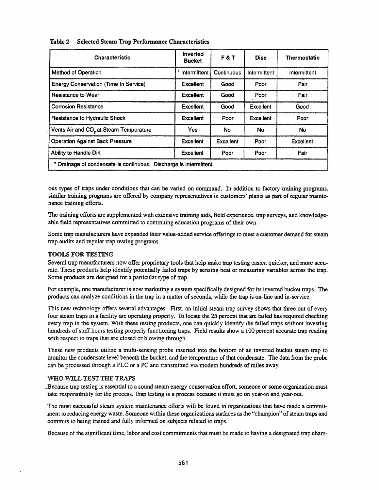| Characteristic                                                     | Inverted<br><b>Bucket</b> | F&T        | <b>Disc</b>  | <b>Thermostatic</b> |
|--------------------------------------------------------------------|---------------------------|------------|--------------|---------------------|
| Method of Operation                                                | * Intermittent            | Continuous | Intermittent | Intermittent        |
| <b>Energy Conservation (Time In Service)</b>                       | Excellent                 | Good       | Poor         | Fair                |
| <b>Resistance to Wear</b>                                          | Excelient                 | Good       | Poor         | Fair                |
| <b>Corrosion Resistance</b>                                        | Excellent                 | Good       | Excellent    | Good                |
| Resistance to Hydraulic Shock                                      | Excellent                 | Poor       | Excellent    | Poor                |
| Vents Air and CO <sub>2</sub> at Steam Temperature                 | Yes                       | No         | <b>No</b>    | No                  |
| <b>Operation Against Back Pressure</b>                             | <b>Excellent</b>          | Excellent  | Poor         | <b>Excellent</b>    |
| Ability to Handle Dirt<br>Excellent<br>Poor<br>Fair<br>Poor        |                           |            |              |                     |
| * Drainage of condensate is continuous. Discharge is intermittent. |                           |            |              |                     |

Table 2 Selected Steam Trap Performance Characteristics

005 types of traps under conditions that can be varied on command. In addition to factory training programs, similar training programs are offered by company representatives in customers' plants as part of regular maintenance training efforts.

The training efforts are supplemented with extensive training aids, field experience, trap surveys, and knowledgeable field representatives committed to continuing education programs of their own.

Some trap manufacturers have expanded their value-added service offerings to meet a customer demand for steam trap audits and regular trap testing programs.

#### TOOLS FOR TESTING

Several trap manufacturers now offer proprietary tools that help make trap testing easier, quicker, and more accurate. These products help identify potentially failed traps by sensing heat or measuring variables across the trap. Some products are designed for a particular type of trap.

For example, one manufacturer is now marketing a system specifically designed for its inverted bucket traps. The products can analyze conditions in the trap in a matter of seconds, while the trap is on-line and in-service.

This new technology offers several advantages. First, an initial steam trap survey shows that three out of every four steam traps in a facility are operating properly. To locate the 25 percent that are failed has required checking every trap in the system. With these testing products, one can quickly identify the failed traps without investing hundreds of staff hours testing properly functioning traps. Field results show a 100 percent accurate trap reading with respect to traps that are closed or blowing through.

These new products utilize a multi-sensing probe inserted into the bottom of an inverted bucket steam trap to monitor the condensate level beneath the bucket, and the temperature of that condensate. The data from the probe can be processed through a PLC or a PC and transmitted via modem hundreds of miles away.

#### WHO WILL TEST THE TRAPS

.Because trap testing is essential to a sound steam energy conservation effort, someone or some organization must take responsibility for the process. Trap testing is a process because it must go on year-in and year-out.

The most successful steam system maintenance efforts will be found in organizations that have made a commitment to reducing energy waste. Someone within these organizations surfaces as the "champion" of steam traps and commits to being trained and fully informed on subjects related to traps.

Because of the significant time, labor and cost commitments that must be made to having a designated trap cham-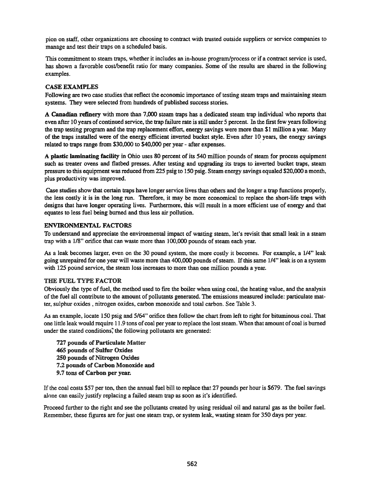pion on staff, other organizations are choosing to contract with trusted outside suppliers or service companies to manage and test their traps on a scheduled basis.

This commitment to steam traps, whether it includes an in-house program/process or if a contract service is used, has shown a favorable cost/benefit ratio for many companies. Some of the results are shared in the following examples.

# CASE EXAMPLES

Following are two case studies that reflect the economic importance of testing steam traps and maintaining steam systems. They were selected from hundreds of published success stories. .

A **Canadian** refinery with more than 7,000 steam traps has a dedicated steam trap individual who reports that even after 10 years of continued service, the trap failure rate is still under 5 percent. In the first few years following the trap testing program and the trap replacement effort, energy savings were more than \$1 million a year. Many of the traps installed were of the energy efficient inverted bucket style. Even after 10 years, the energy savings related to traps range from \$30,000 to \$40,000 per year - after expenses.

A plastic laminating facility in Ohio uses 80 percent of its 540 million pounds of steam for process equipment such as treater ovens and flatbed presses. After testing and upgrading its traps to inverted bucket traps, steam pressure to this equipment was reduced from 225 psig to 150 psig. Steam energy savings equaled \$20,000 a month, plus productivity was improved.

Case studies show that certain traps have longer service lives than others and the longer a trap functions properly, the less costly it is in the long run. Therefore, it may be more economical to replace the short-life traps with designs that have longer operating lives. Furthermore, this will result in a more efficient use of energy and that equates to less fuel being burned and thus less air pollution.

## ENVIRONMENTAL FACTORS

To understand and appreciate the environmental impact of wasting steam, let's revisit that small leak in a steam trap with a 1/8" orifice that can waste more than 100,000 pounds of steam each year.

As a leak becomes larger, even on the 30 pound system, the more costly it becomes. For example, a 1/4" leak going unrepaired for one year will waste more than 400,000 pounds of steam. If this same 1/4" leak is on a system with 125 pound service, the steam loss increases to more than one million pounds a year.

## THE FUEL TYPE FACTOR

Obviously the type of fuel, the method used to fire the boiler when using coal, the heating value, and the analysis of the fuel all contribute to the amount of pollutants generated. The emissions measured include: particulate matter, sulphur oxides, nitrogen oxides, carbon monoxide and total carbon. See Table 3.

As an example, locate 150 psig and 5/64" orifice then follow the chart from left to right for bituminous coal. That one little leak would require 11.9 tons ofcoal per year to replace the loststeam. When that amount of coal is burned under the stated conditions, the following pollutants are generated:

727 pounds of Particulate Matter 465 pounds of Sulfur Oxides 250 pounds of Nitrogen Oxides 7.2 pounds of Carbon Monoxide and 9.7 tons of Carbon per year.

Ifthe coal costs \$57 per ton, then the annual fuel bill to replace that 27 pounds per hour is \$679. The fuel savings alone can easily justify replacing a failed steam trap as soon as it's identified.

Proceed further to the right and see the pollutants created by using residual oil and natural gas as the boiler fuel. Remember, these figures are for just one steam trap, or system leak, wasting steam for 350 days per year.